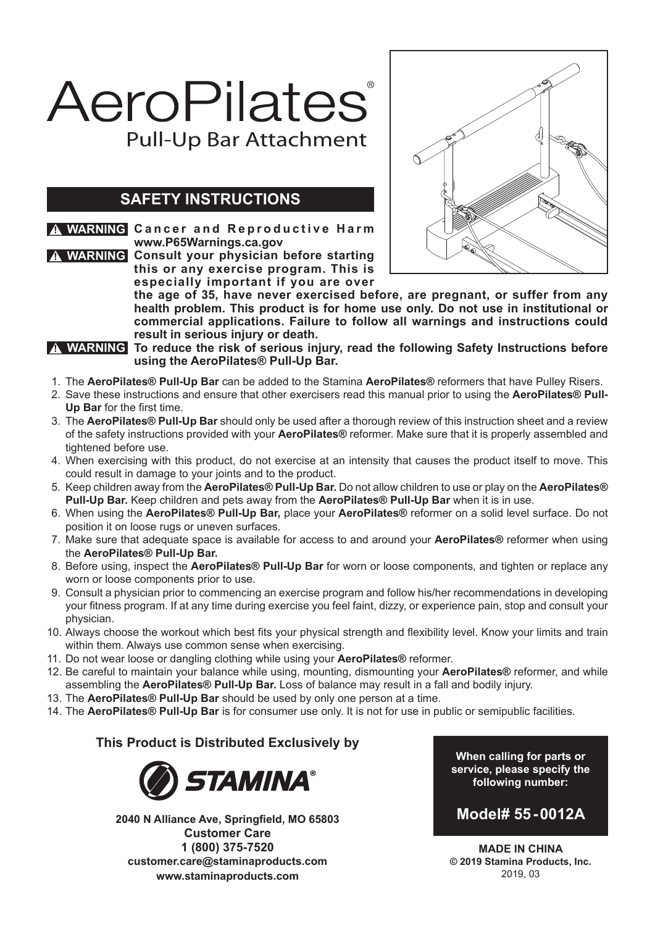# AeroPilates® Pull-Up Bar Attachment

## **SAFETY INSTRUCTIONS**

# **A WARNING** Cancer and Reproductive Harm

**www.P65Warnings.ca.gov <u>A WARNING</u> Consult your physician before starting this or any exercise program. This is especially important if you are over** 



**the age of 35, have never exercised before, are pregnant, or suffer from any health problem. This product is for home use only. Do not use in institutional or commercial applications. Failure to follow all warnings and instructions could result in serious injury or death.**

**To reduce the risk of serious injury, read the following Safety Instructions before ! WARNINGusing the AeroPilates® Pull-Up Bar.**

- 1. The **AeroPilates® Pull-Up Bar** can be added to the Stamina **AeroPilates®** reformers that have Pulley Risers.
- 2. Save these instructions and ensure that other exercisers read this manual prior to using the **AeroPilates® Pull-Up Bar** for the first time.
- 3. The **AeroPilates® Pull-Up Bar** should only be used after a thorough review of this instruction sheet and a review of the safety instructions provided with your **AeroPilates®** reformer. Make sure that it is properly assembled and tightened before use.
- 4. When exercising with this product, do not exercise at an intensity that causes the product itself to move. This could result in damage to your joints and to the product.
- 5. Keep children away from the **AeroPilates® Pull-Up Bar.** Do not allow children to use or play on the **AeroPilates® Pull-Up Bar.** Keep children and pets away from the **AeroPilates® Pull-Up Bar** when it is in use.
- 6. When using the **AeroPilates® Pull-Up Bar,** place your **AeroPilates®** reformer on a solid level surface. Do not position it on loose rugs or uneven surfaces.
- 7. Make sure that adequate space is available for access to and around your **AeroPilates®** reformer when using the **AeroPilates® Pull-Up Bar.**
- 8. Before using, inspect the **AeroPilates® Pull-Up Bar** for worn or loose components, and tighten or replace any worn or loose components prior to use.
- 9. Consult a physician prior to commencing an exercise program and follow his/her recommendations in developing your fitness program. If at any time during exercise you feel faint, dizzy, or experience pain, stop and consult your physician.
- 10. Always choose the workout which best fits your physical strength and flexibility level. Know your limits and train within them. Always use common sense when exercising.
- 11. Do not wear loose or dangling clothing while using your **AeroPilates®** reformer.
- 12. Be careful to maintain your balance while using, mounting, dismounting your **AeroPilates®** reformer, and while assembling the **AeroPilates® Pull-Up Bar.** Loss of balance may result in a fall and bodily injury.
- 13. The **AeroPilates® Pull-Up Bar** should be used by only one person at a time.
- 14. The **AeroPilates® Pull-Up Bar** is for consumer use only. It is not for use in public or semipublic facilities.

#### **This Product is Distributed Exclusively by**



**2040 N Alliance Ave, Springfield, MO 65803 Customer Care 1 (800) 375-7520 customer.care@staminaproducts.com www.staminaproducts.com**

**When calling for parts or service, please specify the following number:**

## **Model# 55-0012A**

**MADE IN CHINA © 2019 Stamina Products, Inc.** 2019, 03